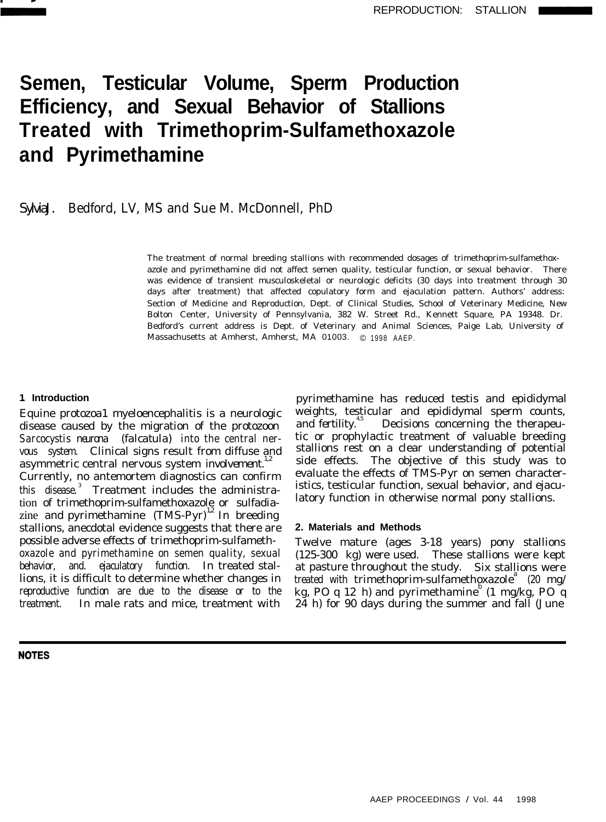

# **Semen, Testicular Volume, Sperm Production Efficiency, and Sexual Behavior of Stallions Treated with Trimethoprim-Sulfamethoxazole and Pyrimethamine**

# SylviaJ. Bedford, LV, MS and Sue M. McDonnell, PhD

The treatment of normal breeding stallions with recommended dosages of trimethoprim-sulfamethoxazole and pyrimethamine did not affect semen quality, testicular function, or sexual behavior. There was evidence of transient musculoskeletal or neurologic deficits (30 days into treatment through 30 days after treatment) that affected copulatory form and ejaculation pattern. Authors' address: Section of Medicine and Reproduction, Dept. of Clinical Studies, School of Veterinary Medicine, New Bolton Center, University of Pennsylvania, 382 W. Street Rd., Kennett Square, PA 19348. Dr. Bedford's current address is Dept. of Veterinary and Animal Sciences, Paige Lab, University of Massachusetts at Amherst, Amherst, MA 01003. © 1998 AAEP.

#### **1. Introduction**

Equine protozoa1 myeloencephalitis is a neurologic disease caused by the migration of the protozoon *Sarcocystis neurona (falcatula)* into the central nervous system. Clinical signs result from diffuse and asymmetric central nervous system involvement. $1/2$ Currently, no antemortem diagnostics can confirm this disease.<sup>3</sup> Treatment includes the administration of trimethoprim-sulfamethoxazole or sulfadiazine and pyrimethamine  $(TMS-Pyr)^{12}$  In breeding stallions, anecdotal evidence suggests that there are possible adverse effects of trimethoprim-sulfamethoxazole and pyrimethamine on semen quality, sexual behavior, and. ejaculatory function. In treated stallions, it is difficult to determine whether changes in reproductive function are due to the disease or to the treatment. In male rats and mice, treatment with

**NOTES** 

pyrimethamine has reduced testis and epididymal weights, testicular and epididymal sperm counts, and fertility.<sup>4,5</sup> Decisions concerning the therapeutic or prophylactic treatment of valuable breeding stallions rest on a clear understanding of potential side effects. The objective of this study was to evaluate the effects of TMS-Pyr on semen characteristics, testicular function, sexual behavior, and ejaculatory function in otherwise normal pony stallions.

## **2. Materials and Methods**

Twelve mature (ages 3-18 years) pony stallions (125-300 kg) were used. These stallions were kept at pasture throughout the study. Six stallions were treated with trimethoprim-sulfamethoxazole<sup>a</sup> (20 mg/ kg, PO q 12 h) and pyrimethamine  $(1 \text{ mg/kg}, 90 \text{ q})$ 24 h) for 90 days during the summer and fall (June